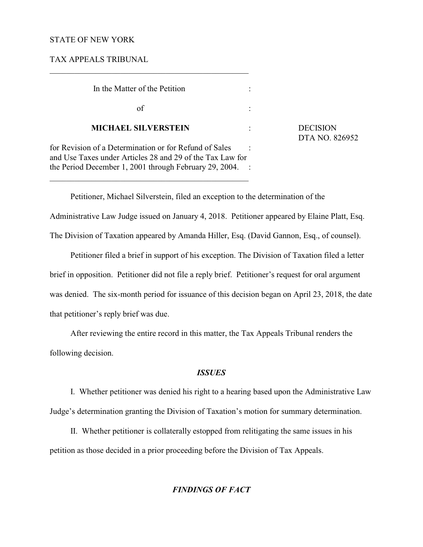## STATE OF NEW YORK

TAX APPEALS TRIBUNAL

| In the Matter of the Petition                                                                                                                                                 |  |
|-------------------------------------------------------------------------------------------------------------------------------------------------------------------------------|--|
| οf                                                                                                                                                                            |  |
| <b>MICHAEL SILVERSTEIN</b>                                                                                                                                                    |  |
| for Revision of a Determination or for Refund of Sales<br>and Use Taxes under Articles 28 and 29 of the Tax Law for<br>the Period December 1, 2001 through February 29, 2004. |  |

 $\overline{\phantom{a}}$  , and the set of the set of the set of the set of the set of the set of the set of the set of the set of the set of the set of the set of the set of the set of the set of the set of the set of the set of the s

 $\overline{\phantom{a}}$  , and the set of the set of the set of the set of the set of the set of the set of the set of the set of the set of the set of the set of the set of the set of the set of the set of the set of the set of the s

**DECISION** DTA NO. 826952

Petitioner, Michael Silverstein, filed an exception to the determination of the Administrative Law Judge issued on January 4, 2018. Petitioner appeared by Elaine Platt, Esq. The Division of Taxation appeared by Amanda Hiller, Esq. (David Gannon, Esq., of counsel).

Petitioner filed a brief in support of his exception. The Division of Taxation filed a letter brief in opposition. Petitioner did not file a reply brief. Petitioner's request for oral argument was denied. The six-month period for issuance of this decision began on April 23, 2018, the date that petitioner's reply brief was due.

After reviewing the entire record in this matter, the Tax Appeals Tribunal renders the following decision.

### *ISSUES*

I. Whether petitioner was denied his right to a hearing based upon the Administrative Law Judge's determination granting the Division of Taxation's motion for summary determination.

II. Whether petitioner is collaterally estopped from relitigating the same issues in his petition as those decided in a prior proceeding before the Division of Tax Appeals.

# *FINDINGS OF FACT*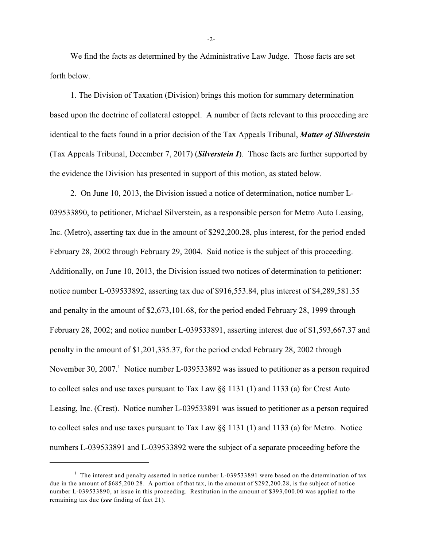We find the facts as determined by the Administrative Law Judge. Those facts are set forth below.

1. The Division of Taxation (Division) brings this motion for summary determination based upon the doctrine of collateral estoppel. A number of facts relevant to this proceeding are identical to the facts found in a prior decision of the Tax Appeals Tribunal, *Matter of Silverstein* (Tax Appeals Tribunal, December 7, 2017) (*Silverstein I*). Those facts are further supported by the evidence the Division has presented in support of this motion, as stated below.

2. On June 10, 2013, the Division issued a notice of determination, notice number L-039533890, to petitioner, Michael Silverstein, as a responsible person for Metro Auto Leasing, Inc. (Metro), asserting tax due in the amount of \$292,200.28, plus interest, for the period ended February 28, 2002 through February 29, 2004. Said notice is the subject of this proceeding. Additionally, on June 10, 2013, the Division issued two notices of determination to petitioner: notice number L-039533892, asserting tax due of \$916,553.84, plus interest of \$4,289,581.35 and penalty in the amount of \$2,673,101.68, for the period ended February 28, 1999 through February 28, 2002; and notice number L-039533891, asserting interest due of \$1,593,667.37 and penalty in the amount of \$1,201,335.37, for the period ended February 28, 2002 through November 30, 2007. Notice number L-039533892 was issued to petitioner as a person required to collect sales and use taxes pursuant to Tax Law  $\S$  1131 (1) and 1133 (a) for Crest Auto Leasing, Inc. (Crest). Notice number L-039533891 was issued to petitioner as a person required to collect sales and use taxes pursuant to Tax Law §§ 1131 (1) and 1133 (a) for Metro. Notice numbers L-039533891 and L-039533892 were the subject of a separate proceeding before the

-2-

 $1$  The interest and penalty asserted in notice number L-039533891 were based on the determination of tax due in the amount of \$685,200.28. A portion of that tax, in the amount of \$292,200.28, is the subject of notice number L-039533890, at issue in this proceeding. Restitution in the amount of \$393,000.00 was applied to the remaining tax due (*see* finding of fact 21).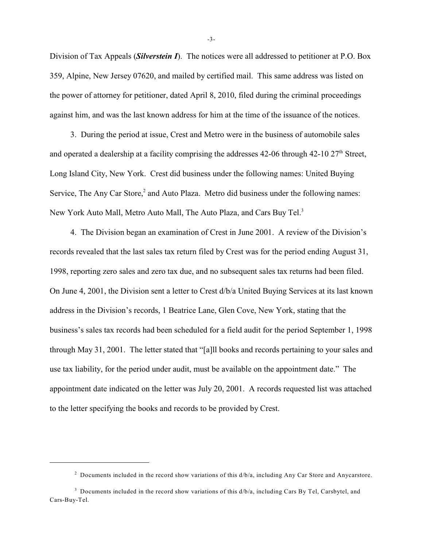Division of Tax Appeals (*Silverstein I*). The notices were all addressed to petitioner at P.O. Box 359, Alpine, New Jersey 07620, and mailed by certified mail. This same address was listed on the power of attorney for petitioner, dated April 8, 2010, filed during the criminal proceedings against him, and was the last known address for him at the time of the issuance of the notices.

3. During the period at issue, Crest and Metro were in the business of automobile sales and operated a dealership at a facility comprising the addresses  $42-06$  through  $42-10$   $27<sup>th</sup>$  Street, Long Island City, New York. Crest did business under the following names: United Buying Service, The Any Car Store, $<sup>2</sup>$  and Auto Plaza. Metro did business under the following names:</sup> New York Auto Mall, Metro Auto Mall, The Auto Plaza, and Cars Buy Tel.<sup>3</sup>

4. The Division began an examination of Crest in June 2001. A review of the Division's records revealed that the last sales tax return filed by Crest was for the period ending August 31, 1998, reporting zero sales and zero tax due, and no subsequent sales tax returns had been filed. On June 4, 2001, the Division sent a letter to Crest d/b/a United Buying Services at its last known address in the Division's records, 1 Beatrice Lane, Glen Cove, New York, stating that the business's sales tax records had been scheduled for a field audit for the period September 1, 1998 through May 31, 2001. The letter stated that "[a]ll books and records pertaining to your sales and use tax liability, for the period under audit, must be available on the appointment date." The appointment date indicated on the letter was July 20, 2001. A records requested list was attached to the letter specifying the books and records to be provided by Crest.

-3-

<sup>&</sup>lt;sup>2</sup> Documents included in the record show variations of this  $d/b/a$ , including Any Car Store and Anycarstore.

<sup>&</sup>lt;sup>3</sup> Documents included in the record show variations of this  $d/b/a$ , including Cars By Tel, Carsbytel, and Cars-Buy-Tel.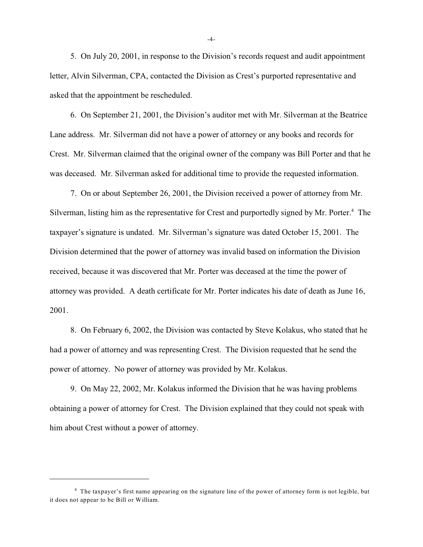5. On July 20, 2001, in response to the Division's records request and audit appointment letter, Alvin Silverman, CPA, contacted the Division as Crest's purported representative and asked that the appointment be rescheduled.

6. On September 21, 2001, the Division's auditor met with Mr. Silverman at the Beatrice Lane address. Mr. Silverman did not have a power of attorney or any books and records for Crest. Mr. Silverman claimed that the original owner of the company was Bill Porter and that he was deceased. Mr. Silverman asked for additional time to provide the requested information.

7. On or about September 26, 2001, the Division received a power of attorney from Mr. Silverman, listing him as the representative for Crest and purportedly signed by Mr. Porter.<sup>4</sup> The taxpayer's signature is undated. Mr. Silverman's signature was dated October 15, 2001. The Division determined that the power of attorney was invalid based on information the Division received, because it was discovered that Mr. Porter was deceased at the time the power of attorney was provided. A death certificate for Mr. Porter indicates his date of death as June 16, 2001.

8. On February 6, 2002, the Division was contacted by Steve Kolakus, who stated that he had a power of attorney and was representing Crest. The Division requested that he send the power of attorney. No power of attorney was provided by Mr. Kolakus.

9. On May 22, 2002, Mr. Kolakus informed the Division that he was having problems obtaining a power of attorney for Crest. The Division explained that they could not speak with him about Crest without a power of attorney.

-4-

<sup>&</sup>lt;sup>4</sup> The taxpayer's first name appearing on the signature line of the power of attorney form is not legible, but it does not appear to be Bill or William.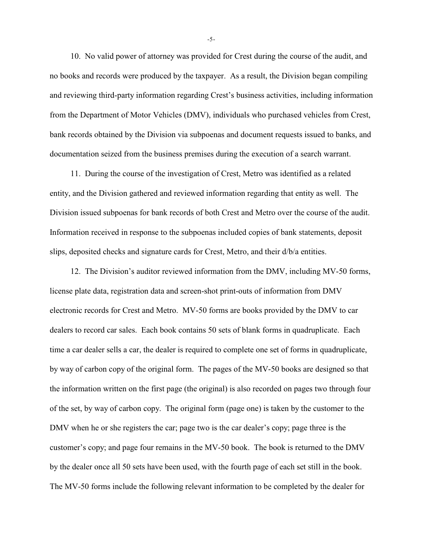10. No valid power of attorney was provided for Crest during the course of the audit, and no books and records were produced by the taxpayer. As a result, the Division began compiling and reviewing third-party information regarding Crest's business activities, including information from the Department of Motor Vehicles (DMV), individuals who purchased vehicles from Crest, bank records obtained by the Division via subpoenas and document requests issued to banks, and documentation seized from the business premises during the execution of a search warrant.

11. During the course of the investigation of Crest, Metro was identified as a related entity, and the Division gathered and reviewed information regarding that entity as well. The Division issued subpoenas for bank records of both Crest and Metro over the course of the audit. Information received in response to the subpoenas included copies of bank statements, deposit slips, deposited checks and signature cards for Crest, Metro, and their d/b/a entities.

12. The Division's auditor reviewed information from the DMV, including MV-50 forms, license plate data, registration data and screen-shot print-outs of information from DMV electronic records for Crest and Metro. MV-50 forms are books provided by the DMV to car dealers to record car sales. Each book contains 50 sets of blank forms in quadruplicate. Each time a car dealer sells a car, the dealer is required to complete one set of forms in quadruplicate, by way of carbon copy of the original form. The pages of the MV-50 books are designed so that the information written on the first page (the original) is also recorded on pages two through four of the set, by way of carbon copy. The original form (page one) is taken by the customer to the DMV when he or she registers the car; page two is the car dealer's copy; page three is the customer's copy; and page four remains in the MV-50 book. The book is returned to the DMV by the dealer once all 50 sets have been used, with the fourth page of each set still in the book. The MV-50 forms include the following relevant information to be completed by the dealer for

-5-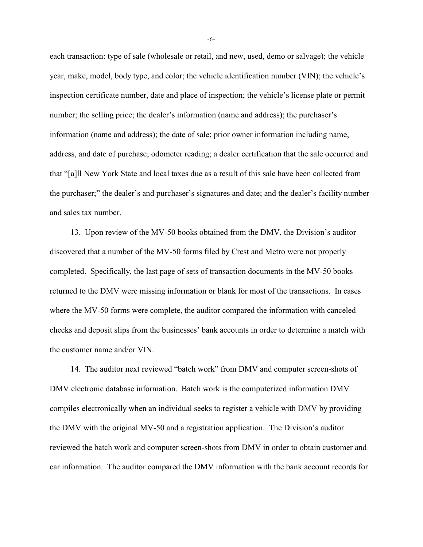each transaction: type of sale (wholesale or retail, and new, used, demo or salvage); the vehicle year, make, model, body type, and color; the vehicle identification number (VIN); the vehicle's inspection certificate number, date and place of inspection; the vehicle's license plate or permit number; the selling price; the dealer's information (name and address); the purchaser's information (name and address); the date of sale; prior owner information including name, address, and date of purchase; odometer reading; a dealer certification that the sale occurred and that "[a]ll New York State and local taxes due as a result of this sale have been collected from the purchaser;" the dealer's and purchaser's signatures and date; and the dealer's facility number and sales tax number.

13. Upon review of the MV-50 books obtained from the DMV, the Division's auditor discovered that a number of the MV-50 forms filed by Crest and Metro were not properly completed. Specifically, the last page of sets of transaction documents in the MV-50 books returned to the DMV were missing information or blank for most of the transactions. In cases where the MV-50 forms were complete, the auditor compared the information with canceled checks and deposit slips from the businesses' bank accounts in order to determine a match with the customer name and/or VIN.

14. The auditor next reviewed "batch work" from DMV and computer screen-shots of DMV electronic database information. Batch work is the computerized information DMV compiles electronically when an individual seeks to register a vehicle with DMV by providing the DMV with the original MV-50 and a registration application. The Division's auditor reviewed the batch work and computer screen-shots from DMV in order to obtain customer and car information. The auditor compared the DMV information with the bank account records for

-6-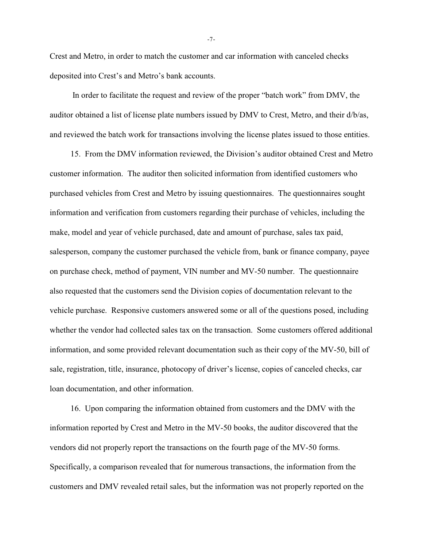Crest and Metro, in order to match the customer and car information with canceled checks deposited into Crest's and Metro's bank accounts.

 In order to facilitate the request and review of the proper "batch work" from DMV, the auditor obtained a list of license plate numbers issued by DMV to Crest, Metro, and their d/b/as, and reviewed the batch work for transactions involving the license plates issued to those entities.

15. From the DMV information reviewed, the Division's auditor obtained Crest and Metro customer information. The auditor then solicited information from identified customers who purchased vehicles from Crest and Metro by issuing questionnaires. The questionnaires sought information and verification from customers regarding their purchase of vehicles, including the make, model and year of vehicle purchased, date and amount of purchase, sales tax paid, salesperson, company the customer purchased the vehicle from, bank or finance company, payee on purchase check, method of payment, VIN number and MV-50 number. The questionnaire also requested that the customers send the Division copies of documentation relevant to the vehicle purchase. Responsive customers answered some or all of the questions posed, including whether the vendor had collected sales tax on the transaction. Some customers offered additional information, and some provided relevant documentation such as their copy of the MV-50, bill of sale, registration, title, insurance, photocopy of driver's license, copies of canceled checks, car loan documentation, and other information.

16. Upon comparing the information obtained from customers and the DMV with the information reported by Crest and Metro in the MV-50 books, the auditor discovered that the vendors did not properly report the transactions on the fourth page of the MV-50 forms. Specifically, a comparison revealed that for numerous transactions, the information from the customers and DMV revealed retail sales, but the information was not properly reported on the

-7-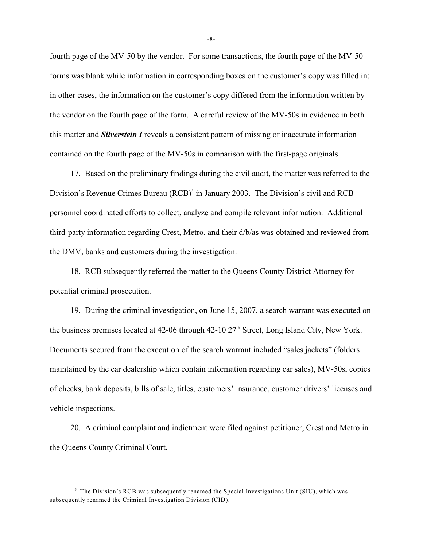fourth page of the MV-50 by the vendor. For some transactions, the fourth page of the MV-50 forms was blank while information in corresponding boxes on the customer's copy was filled in; in other cases, the information on the customer's copy differed from the information written by the vendor on the fourth page of the form. A careful review of the MV-50s in evidence in both this matter and *Silverstein I* reveals a consistent pattern of missing or inaccurate information contained on the fourth page of the MV-50s in comparison with the first-page originals.

17. Based on the preliminary findings during the civil audit, the matter was referred to the Division's Revenue Crimes Bureau  $(RCB)^5$  in January 2003. The Division's civil and RCB personnel coordinated efforts to collect, analyze and compile relevant information. Additional third-party information regarding Crest, Metro, and their d/b/as was obtained and reviewed from the DMV, banks and customers during the investigation.

18. RCB subsequently referred the matter to the Queens County District Attorney for potential criminal prosecution.

19. During the criminal investigation, on June 15, 2007, a search warrant was executed on the business premises located at 42-06 through  $42$ -10  $27<sup>th</sup>$  Street, Long Island City, New York. Documents secured from the execution of the search warrant included "sales jackets" (folders maintained by the car dealership which contain information regarding car sales), MV-50s, copies of checks, bank deposits, bills of sale, titles, customers' insurance, customer drivers' licenses and vehicle inspections.

20. A criminal complaint and indictment were filed against petitioner, Crest and Metro in the Queens County Criminal Court.

-8-

 $<sup>5</sup>$  The Division's RCB was subsequently renamed the Special Investigations Unit (SIU), which was</sup> subsequently renamed the Criminal Investigation Division (CID).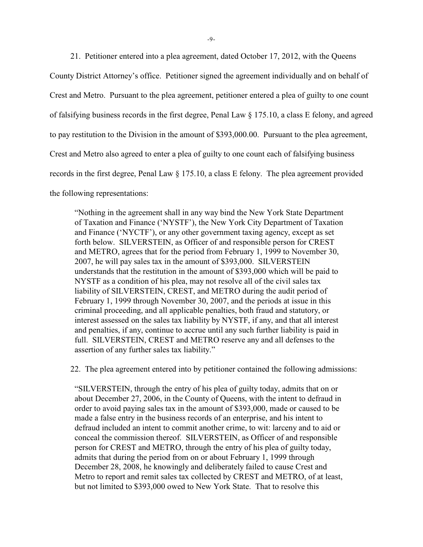21. Petitioner entered into a plea agreement, dated October 17, 2012, with the Queens County District Attorney's office. Petitioner signed the agreement individually and on behalf of Crest and Metro. Pursuant to the plea agreement, petitioner entered a plea of guilty to one count of falsifying business records in the first degree, Penal Law  $\S$  175.10, a class E felony, and agreed to pay restitution to the Division in the amount of \$393,000.00. Pursuant to the plea agreement, Crest and Metro also agreed to enter a plea of guilty to one count each of falsifying business records in the first degree, Penal Law § 175.10, a class E felony. The plea agreement provided the following representations:

"Nothing in the agreement shall in any way bind the New York State Department of Taxation and Finance ('NYSTF'), the New York City Department of Taxation and Finance ('NYCTF'), or any other government taxing agency, except as set forth below. SILVERSTEIN, as Officer of and responsible person for CREST and METRO, agrees that for the period from February 1, 1999 to November 30, 2007, he will pay sales tax in the amount of \$393,000. SILVERSTEIN understands that the restitution in the amount of \$393,000 which will be paid to NYSTF as a condition of his plea, may not resolve all of the civil sales tax liability of SILVERSTEIN, CREST, and METRO during the audit period of February 1, 1999 through November 30, 2007, and the periods at issue in this criminal proceeding, and all applicable penalties, both fraud and statutory, or interest assessed on the sales tax liability by NYSTF, if any, and that all interest and penalties, if any, continue to accrue until any such further liability is paid in full. SILVERSTEIN, CREST and METRO reserve any and all defenses to the assertion of any further sales tax liability."

22. The plea agreement entered into by petitioner contained the following admissions:

"SILVERSTEIN, through the entry of his plea of guilty today, admits that on or about December 27, 2006, in the County of Queens, with the intent to defraud in order to avoid paying sales tax in the amount of \$393,000, made or caused to be made a false entry in the business records of an enterprise, and his intent to defraud included an intent to commit another crime, to wit: larceny and to aid or conceal the commission thereof. SILVERSTEIN, as Officer of and responsible person for CREST and METRO, through the entry of his plea of guilty today, admits that during the period from on or about February 1, 1999 through December 28, 2008, he knowingly and deliberately failed to cause Crest and Metro to report and remit sales tax collected by CREST and METRO, of at least, but not limited to \$393,000 owed to New York State. That to resolve this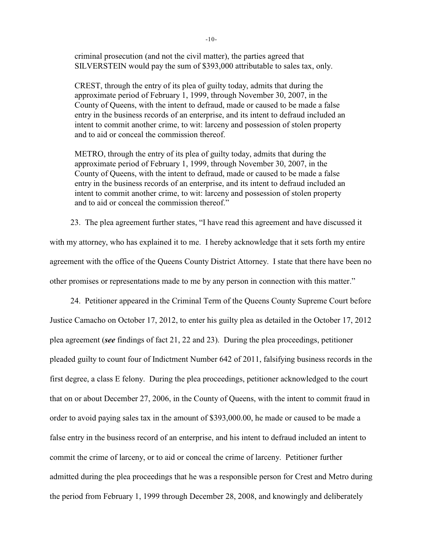criminal prosecution (and not the civil matter), the parties agreed that SILVERSTEIN would pay the sum of \$393,000 attributable to sales tax, only.

CREST, through the entry of its plea of guilty today, admits that during the approximate period of February 1, 1999, through November 30, 2007, in the County of Queens, with the intent to defraud, made or caused to be made a false entry in the business records of an enterprise, and its intent to defraud included an intent to commit another crime, to wit: larceny and possession of stolen property and to aid or conceal the commission thereof.

METRO, through the entry of its plea of guilty today, admits that during the approximate period of February 1, 1999, through November 30, 2007, in the County of Queens, with the intent to defraud, made or caused to be made a false entry in the business records of an enterprise, and its intent to defraud included an intent to commit another crime, to wit: larceny and possession of stolen property and to aid or conceal the commission thereof."

23. The plea agreement further states, "I have read this agreement and have discussed it with my attorney, who has explained it to me. I hereby acknowledge that it sets forth my entire agreement with the office of the Queens County District Attorney. I state that there have been no other promises or representations made to me by any person in connection with this matter."

24. Petitioner appeared in the Criminal Term of the Queens County Supreme Court before Justice Camacho on October 17, 2012, to enter his guilty plea as detailed in the October 17, 2012 plea agreement (*see* findings of fact 21, 22 and 23). During the plea proceedings, petitioner pleaded guilty to count four of Indictment Number 642 of 2011, falsifying business records in the first degree, a class E felony. During the plea proceedings, petitioner acknowledged to the court that on or about December 27, 2006, in the County of Queens, with the intent to commit fraud in order to avoid paying sales tax in the amount of \$393,000.00, he made or caused to be made a false entry in the business record of an enterprise, and his intent to defraud included an intent to commit the crime of larceny, or to aid or conceal the crime of larceny. Petitioner further admitted during the plea proceedings that he was a responsible person for Crest and Metro during the period from February 1, 1999 through December 28, 2008, and knowingly and deliberately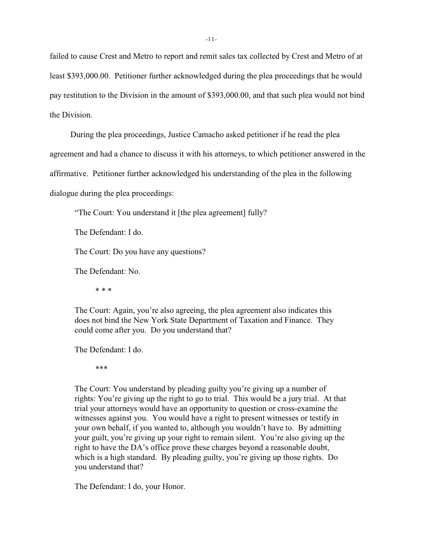failed to cause Crest and Metro to report and remit sales tax collected by Crest and Metro of at least \$393,000.00. Petitioner further acknowledged during the plea proceedings that he would pay restitution to the Division in the amount of \$393,000.00, and that such plea would not bind the Division.

During the plea proceedings, Justice Camacho asked petitioner if he read the plea

agreement and had a chance to discuss it with his attorneys, to which petitioner answered in the

affirmative. Petitioner further acknowledged his understanding of the plea in the following

dialogue during the plea proceedings:

"The Court: You understand it [the plea agreement] fully?

The Defendant: I do.

The Court: Do you have any questions?

The Defendant: No.

\* \* \*

The Court: Again, you're also agreeing, the plea agreement also indicates this does not bind the New York State Department of Taxation and Finance. They could come after you. Do you understand that?

The Defendant: I do.

\*\*\*

The Court: You understand by pleading guilty you're giving up a number of rights: You're giving up the right to go to trial. This would be a jury trial. At that trial your attorneys would have an opportunity to question or cross-examine the witnesses against you. You would have a right to present witnesses or testify in your own behalf, if you wanted to, although you wouldn't have to. By admitting your guilt, you're giving up your right to remain silent. You're also giving up the right to have the DA's office prove these charges beyond a reasonable doubt, which is a high standard. By pleading guilty, you're giving up those rights. Do you understand that?

The Defendant: I do, your Honor.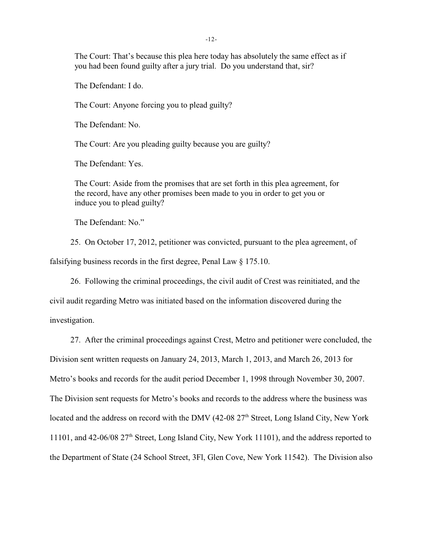The Court: That's because this plea here today has absolutely the same effect as if you had been found guilty after a jury trial. Do you understand that, sir?

The Defendant: I do.

The Court: Anyone forcing you to plead guilty?

The Defendant: No.

The Court: Are you pleading guilty because you are guilty?

The Defendant: Yes.

The Court: Aside from the promises that are set forth in this plea agreement, for the record, have any other promises been made to you in order to get you or induce you to plead guilty?

The Defendant: No."

25. On October 17, 2012, petitioner was convicted, pursuant to the plea agreement, of

falsifying business records in the first degree, Penal Law § 175.10.

26. Following the criminal proceedings, the civil audit of Crest was reinitiated, and the

civil audit regarding Metro was initiated based on the information discovered during the investigation.

27. After the criminal proceedings against Crest, Metro and petitioner were concluded, the Division sent written requests on January 24, 2013, March 1, 2013, and March 26, 2013 for Metro's books and records for the audit period December 1, 1998 through November 30, 2007. The Division sent requests for Metro's books and records to the address where the business was located and the address on record with the DMV (42-08  $27<sup>th</sup>$  Street, Long Island City, New York 11101, and 42-06/08  $27<sup>th</sup>$  Street, Long Island City, New York 11101), and the address reported to the Department of State (24 School Street, 3Fl, Glen Cove, New York 11542). The Division also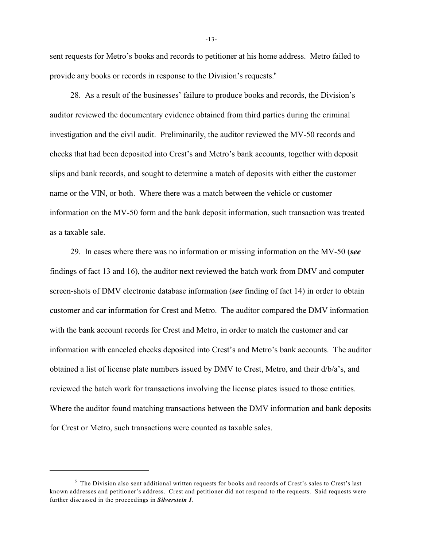sent requests for Metro's books and records to petitioner at his home address. Metro failed to provide any books or records in response to the Division's requests.<sup>6</sup>

28. As a result of the businesses' failure to produce books and records, the Division's auditor reviewed the documentary evidence obtained from third parties during the criminal investigation and the civil audit. Preliminarily, the auditor reviewed the MV-50 records and checks that had been deposited into Crest's and Metro's bank accounts, together with deposit slips and bank records, and sought to determine a match of deposits with either the customer name or the VIN, or both. Where there was a match between the vehicle or customer information on the MV-50 form and the bank deposit information, such transaction was treated as a taxable sale.

29. In cases where there was no information or missing information on the MV-50 (*see* findings of fact 13 and 16), the auditor next reviewed the batch work from DMV and computer screen-shots of DMV electronic database information (*see* finding of fact 14) in order to obtain customer and car information for Crest and Metro. The auditor compared the DMV information with the bank account records for Crest and Metro, in order to match the customer and car information with canceled checks deposited into Crest's and Metro's bank accounts. The auditor obtained a list of license plate numbers issued by DMV to Crest, Metro, and their d/b/a's, and reviewed the batch work for transactions involving the license plates issued to those entities. Where the auditor found matching transactions between the DMV information and bank deposits for Crest or Metro, such transactions were counted as taxable sales.

 $6$  The Division also sent additional written requests for books and records of Crest's sales to Crest's last known addresses and petitioner's address. Crest and petitioner did not respond to the requests. Said requests were further discussed in the proceedings in *Silverstein I*.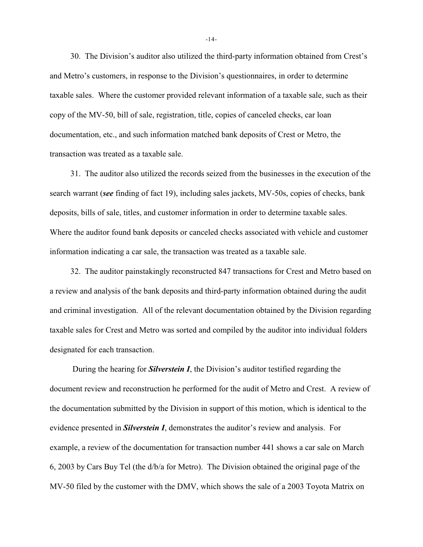30. The Division's auditor also utilized the third-party information obtained from Crest's and Metro's customers, in response to the Division's questionnaires, in order to determine taxable sales. Where the customer provided relevant information of a taxable sale, such as their copy of the MV-50, bill of sale, registration, title, copies of canceled checks, car loan documentation, etc., and such information matched bank deposits of Crest or Metro, the transaction was treated as a taxable sale.

31. The auditor also utilized the records seized from the businesses in the execution of the search warrant (*see* finding of fact 19), including sales jackets, MV-50s, copies of checks, bank deposits, bills of sale, titles, and customer information in order to determine taxable sales. Where the auditor found bank deposits or canceled checks associated with vehicle and customer information indicating a car sale, the transaction was treated as a taxable sale.

32. The auditor painstakingly reconstructed 847 transactions for Crest and Metro based on a review and analysis of the bank deposits and third-party information obtained during the audit and criminal investigation. All of the relevant documentation obtained by the Division regarding taxable sales for Crest and Metro was sorted and compiled by the auditor into individual folders designated for each transaction.

 During the hearing for *Silverstein I*, the Division's auditor testified regarding the document review and reconstruction he performed for the audit of Metro and Crest. A review of the documentation submitted by the Division in support of this motion, which is identical to the evidence presented in *Silverstein I*, demonstrates the auditor's review and analysis. For example, a review of the documentation for transaction number 441 shows a car sale on March 6, 2003 by Cars Buy Tel (the d/b/a for Metro). The Division obtained the original page of the MV-50 filed by the customer with the DMV, which shows the sale of a 2003 Toyota Matrix on

-14-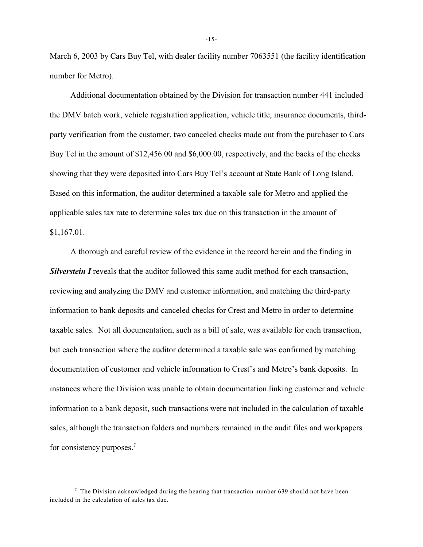March 6, 2003 by Cars Buy Tel, with dealer facility number 7063551 (the facility identification number for Metro).

Additional documentation obtained by the Division for transaction number 441 included the DMV batch work, vehicle registration application, vehicle title, insurance documents, thirdparty verification from the customer, two canceled checks made out from the purchaser to Cars Buy Tel in the amount of \$12,456.00 and \$6,000.00, respectively, and the backs of the checks showing that they were deposited into Cars Buy Tel's account at State Bank of Long Island. Based on this information, the auditor determined a taxable sale for Metro and applied the applicable sales tax rate to determine sales tax due on this transaction in the amount of \$1,167.01.

A thorough and careful review of the evidence in the record herein and the finding in **Silverstein I** reveals that the auditor followed this same audit method for each transaction, reviewing and analyzing the DMV and customer information, and matching the third-party information to bank deposits and canceled checks for Crest and Metro in order to determine taxable sales. Not all documentation, such as a bill of sale, was available for each transaction, but each transaction where the auditor determined a taxable sale was confirmed by matching documentation of customer and vehicle information to Crest's and Metro's bank deposits. In instances where the Division was unable to obtain documentation linking customer and vehicle information to a bank deposit, such transactions were not included in the calculation of taxable sales, although the transaction folders and numbers remained in the audit files and workpapers for consistency purposes.<sup>7</sup>

 $\frac{7}{1}$  The Division acknowledged during the hearing that transaction number 639 should not have been included in the calculation of sales tax due.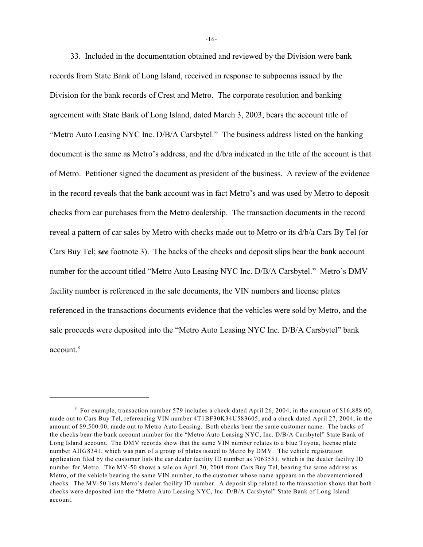33. Included in the documentation obtained and reviewed by the Division were bank records from State Bank of Long Island, received in response to subpoenas issued by the Division for the bank records of Crest and Metro. The corporate resolution and banking agreement with State Bank of Long Island, dated March 3, 2003, bears the account title of "Metro Auto Leasing NYC Inc. D/B/A Carsbytel." The business address listed on the banking document is the same as Metro's address, and the d/b/a indicated in the title of the account is that of Metro. Petitioner signed the document as president of the business. A review of the evidence in the record reveals that the bank account was in fact Metro's and was used by Metro to deposit checks from car purchases from the Metro dealership. The transaction documents in the record reveal a pattern of car sales by Metro with checks made out to Metro or its d/b/a Cars By Tel (or Cars Buy Tel; *see* footnote 3). The backs of the checks and deposit slips bear the bank account number for the account titled "Metro Auto Leasing NYC Inc. D/B/A Carsbytel." Metro's DMV facility number is referenced in the sale documents, the VIN numbers and license plates referenced in the transactions documents evidence that the vehicles were sold by Metro, and the sale proceeds were deposited into the "Metro Auto Leasing NYC Inc. D/B/A Carsbytel" bank account. 8

For example, transaction number 579 includes a check dated April 26, 2004, in the amount of \$16,888.00, <sup>8</sup> made out to Cars Buy Tel, referencing VIN number 4T1BF30K34U583605, and a check dated April 27, 2004, in the amount of \$9,500.00, made out to Metro Auto Leasing. Both checks bear the same customer name. The backs of the checks bear the bank account number for the "Metro Auto Leasing NYC, Inc. D/B/A Carsbytel" State Bank of Long Island account. The DMV records show that the same VIN number relates to a blue Toyota, license plate number AHG8341, which was part of a group of plates issued to Metro by DMV. The vehicle registration application filed by the customer lists the car dealer facility ID number as 7063551, which is the dealer facility ID number for Metro. The MV-50 shows a sale on April 30, 2004 from Cars Buy Tel, bearing the same address as Metro, of the vehicle bearing the same VIN number, to the customer whose name appears on the abovementioned checks. The MV-50 lists Metro's dealer facility ID number. A deposit slip related to the transaction shows that both checks were deposited into the "Metro Auto Leasing NYC, Inc. D/B/A Carsbytel" State Bank of Long Island account.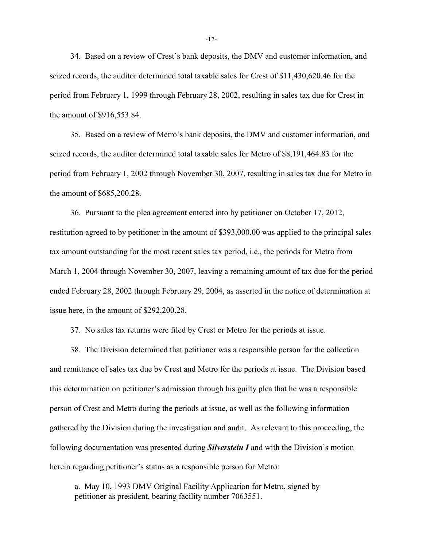34. Based on a review of Crest's bank deposits, the DMV and customer information, and seized records, the auditor determined total taxable sales for Crest of \$11,430,620.46 for the period from February 1, 1999 through February 28, 2002, resulting in sales tax due for Crest in the amount of \$916,553.84.

35. Based on a review of Metro's bank deposits, the DMV and customer information, and seized records, the auditor determined total taxable sales for Metro of \$8,191,464.83 for the period from February 1, 2002 through November 30, 2007, resulting in sales tax due for Metro in the amount of \$685,200.28.

36. Pursuant to the plea agreement entered into by petitioner on October 17, 2012, restitution agreed to by petitioner in the amount of \$393,000.00 was applied to the principal sales tax amount outstanding for the most recent sales tax period, i.e., the periods for Metro from March 1, 2004 through November 30, 2007, leaving a remaining amount of tax due for the period ended February 28, 2002 through February 29, 2004, as asserted in the notice of determination at issue here, in the amount of \$292,200.28.

37. No sales tax returns were filed by Crest or Metro for the periods at issue.

38. The Division determined that petitioner was a responsible person for the collection and remittance of sales tax due by Crest and Metro for the periods at issue. The Division based this determination on petitioner's admission through his guilty plea that he was a responsible person of Crest and Metro during the periods at issue, as well as the following information gathered by the Division during the investigation and audit. As relevant to this proceeding, the following documentation was presented during *Silverstein I* and with the Division's motion herein regarding petitioner's status as a responsible person for Metro:

a. May 10, 1993 DMV Original Facility Application for Metro, signed by petitioner as president, bearing facility number 7063551.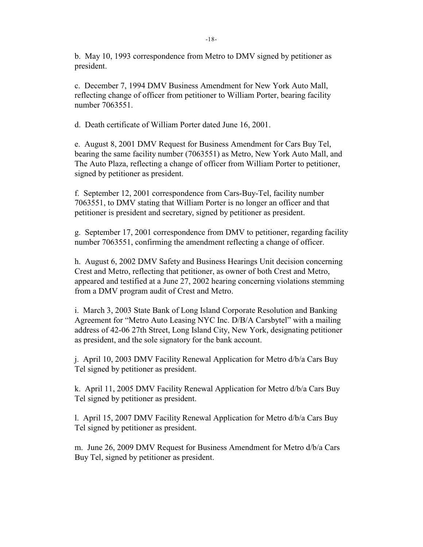b. May 10, 1993 correspondence from Metro to DMV signed by petitioner as president.

c. December 7, 1994 DMV Business Amendment for New York Auto Mall, reflecting change of officer from petitioner to William Porter, bearing facility number 7063551.

d. Death certificate of William Porter dated June 16, 2001.

e. August 8, 2001 DMV Request for Business Amendment for Cars Buy Tel, bearing the same facility number (7063551) as Metro, New York Auto Mall, and The Auto Plaza, reflecting a change of officer from William Porter to petitioner, signed by petitioner as president.

f. September 12, 2001 correspondence from Cars-Buy-Tel, facility number 7063551, to DMV stating that William Porter is no longer an officer and that petitioner is president and secretary, signed by petitioner as president.

g. September 17, 2001 correspondence from DMV to petitioner, regarding facility number 7063551, confirming the amendment reflecting a change of officer.

h. August 6, 2002 DMV Safety and Business Hearings Unit decision concerning Crest and Metro, reflecting that petitioner, as owner of both Crest and Metro, appeared and testified at a June 27, 2002 hearing concerning violations stemming from a DMV program audit of Crest and Metro.

i. March 3, 2003 State Bank of Long Island Corporate Resolution and Banking Agreement for "Metro Auto Leasing NYC Inc. D/B/A Carsbytel" with a mailing address of 42-06 27th Street, Long Island City, New York, designating petitioner as president, and the sole signatory for the bank account.

j. April 10, 2003 DMV Facility Renewal Application for Metro d/b/a Cars Buy Tel signed by petitioner as president.

k. April 11, 2005 DMV Facility Renewal Application for Metro d/b/a Cars Buy Tel signed by petitioner as president.

l. April 15, 2007 DMV Facility Renewal Application for Metro d/b/a Cars Buy Tel signed by petitioner as president.

m. June 26, 2009 DMV Request for Business Amendment for Metro d/b/a Cars Buy Tel, signed by petitioner as president.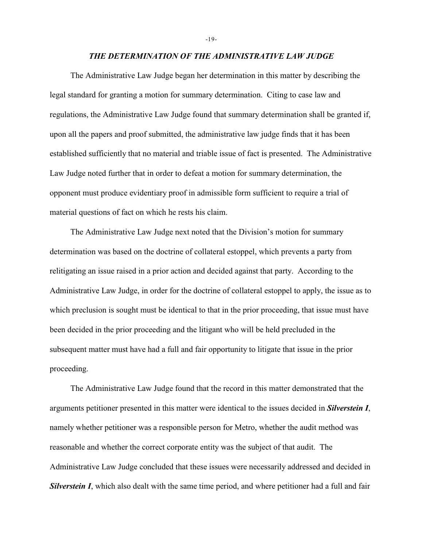*THE DETERMINATION OF THE ADMINISTRATIVE LAW JUDGE*

The Administrative Law Judge began her determination in this matter by describing the legal standard for granting a motion for summary determination. Citing to case law and regulations, the Administrative Law Judge found that summary determination shall be granted if, upon all the papers and proof submitted, the administrative law judge finds that it has been established sufficiently that no material and triable issue of fact is presented. The Administrative Law Judge noted further that in order to defeat a motion for summary determination, the opponent must produce evidentiary proof in admissible form sufficient to require a trial of material questions of fact on which he rests his claim.

The Administrative Law Judge next noted that the Division's motion for summary determination was based on the doctrine of collateral estoppel, which prevents a party from relitigating an issue raised in a prior action and decided against that party. According to the Administrative Law Judge, in order for the doctrine of collateral estoppel to apply, the issue as to which preclusion is sought must be identical to that in the prior proceeding, that issue must have been decided in the prior proceeding and the litigant who will be held precluded in the subsequent matter must have had a full and fair opportunity to litigate that issue in the prior proceeding.

The Administrative Law Judge found that the record in this matter demonstrated that the arguments petitioner presented in this matter were identical to the issues decided in *Silverstein I*, namely whether petitioner was a responsible person for Metro, whether the audit method was reasonable and whether the correct corporate entity was the subject of that audit. The Administrative Law Judge concluded that these issues were necessarily addressed and decided in *Silverstein I*, which also dealt with the same time period, and where petitioner had a full and fair

-19-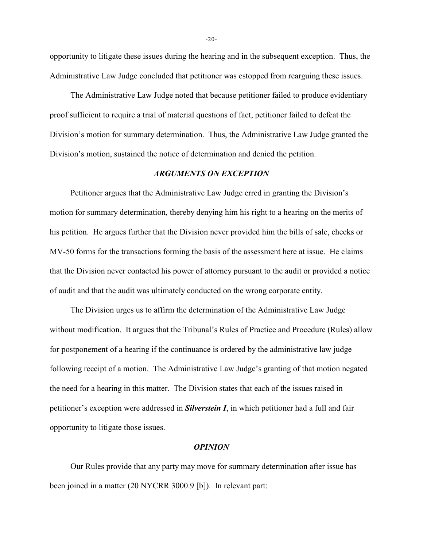opportunity to litigate these issues during the hearing and in the subsequent exception. Thus, the Administrative Law Judge concluded that petitioner was estopped from rearguing these issues.

The Administrative Law Judge noted that because petitioner failed to produce evidentiary proof sufficient to require a trial of material questions of fact, petitioner failed to defeat the Division's motion for summary determination. Thus, the Administrative Law Judge granted the Division's motion, sustained the notice of determination and denied the petition.

## *ARGUMENTS ON EXCEPTION*

Petitioner argues that the Administrative Law Judge erred in granting the Division's motion for summary determination, thereby denying him his right to a hearing on the merits of his petition. He argues further that the Division never provided him the bills of sale, checks or MV-50 forms for the transactions forming the basis of the assessment here at issue. He claims that the Division never contacted his power of attorney pursuant to the audit or provided a notice of audit and that the audit was ultimately conducted on the wrong corporate entity.

The Division urges us to affirm the determination of the Administrative Law Judge without modification. It argues that the Tribunal's Rules of Practice and Procedure (Rules) allow for postponement of a hearing if the continuance is ordered by the administrative law judge following receipt of a motion. The Administrative Law Judge's granting of that motion negated the need for a hearing in this matter. The Division states that each of the issues raised in petitioner's exception were addressed in *Silverstein I*, in which petitioner had a full and fair opportunity to litigate those issues.

#### *OPINION*

Our Rules provide that any party may move for summary determination after issue has been joined in a matter (20 NYCRR 3000.9 [b]). In relevant part:

-20-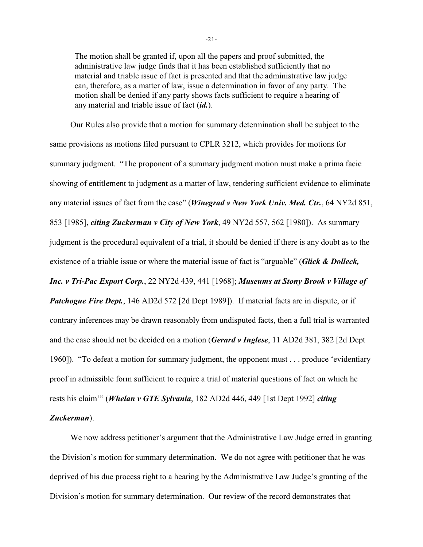The motion shall be granted if, upon all the papers and proof submitted, the administrative law judge finds that it has been established sufficiently that no material and triable issue of fact is presented and that the administrative law judge can, therefore, as a matter of law, issue a determination in favor of any party. The motion shall be denied if any party shows facts sufficient to require a hearing of any material and triable issue of fact (*id.*).

Our Rules also provide that a motion for summary determination shall be subject to the same provisions as motions filed pursuant to CPLR 3212, which provides for motions for summary judgment. "The proponent of a summary judgment motion must make a prima facie showing of entitlement to judgment as a matter of law, tendering sufficient evidence to eliminate any material issues of fact from the case" (*Winegrad v New York Univ. Med. Ctr.*, 64 NY2d 851, 853 [1985], *citing Zuckerman v City of New York*, 49 NY2d 557, 562 [1980]). As summary judgment is the procedural equivalent of a trial, it should be denied if there is any doubt as to the existence of a triable issue or where the material issue of fact is "arguable" (*Glick & Dolleck, Inc. v Tri-Pac Export Corp.*, 22 NY2d 439, 441 [1968]; *Museums at Stony Brook v Village of Patchogue Fire Dept.*, 146 AD2d 572 [2d Dept 1989]). If material facts are in dispute, or if contrary inferences may be drawn reasonably from undisputed facts, then a full trial is warranted and the case should not be decided on a motion (*Gerard v Inglese*, 11 AD2d 381, 382 [2d Dept 1960]). "To defeat a motion for summary judgment, the opponent must . . . produce 'evidentiary proof in admissible form sufficient to require a trial of material questions of fact on which he rests his claim'" (*Whelan v GTE Sylvania*, 182 AD2d 446, 449 [1st Dept 1992] *citing Zuckerman*).

We now address petitioner's argument that the Administrative Law Judge erred in granting the Division's motion for summary determination. We do not agree with petitioner that he was deprived of his due process right to a hearing by the Administrative Law Judge's granting of the Division's motion for summary determination. Our review of the record demonstrates that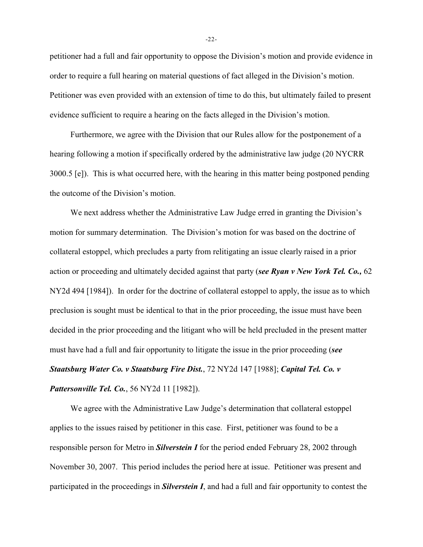petitioner had a full and fair opportunity to oppose the Division's motion and provide evidence in order to require a full hearing on material questions of fact alleged in the Division's motion. Petitioner was even provided with an extension of time to do this, but ultimately failed to present evidence sufficient to require a hearing on the facts alleged in the Division's motion.

Furthermore, we agree with the Division that our Rules allow for the postponement of a hearing following a motion if specifically ordered by the administrative law judge (20 NYCRR 3000.5 [e]). This is what occurred here, with the hearing in this matter being postponed pending the outcome of the Division's motion.

We next address whether the Administrative Law Judge erred in granting the Division's motion for summary determination. The Division's motion for was based on the doctrine of collateral estoppel, which precludes a party from relitigating an issue clearly raised in a prior action or proceeding and ultimately decided against that party (*see Ryan v New York Tel. Co.,* 62 NY2d 494 [1984]). In order for the doctrine of collateral estoppel to apply, the issue as to which preclusion is sought must be identical to that in the prior proceeding, the issue must have been decided in the prior proceeding and the litigant who will be held precluded in the present matter must have had a full and fair opportunity to litigate the issue in the prior proceeding (*see Staatsburg Water Co. v Staatsburg Fire Dist.*, 72 NY2d 147 [1988]; *Capital Tel. Co. v Pattersonville Tel. Co.*, 56 NY2d 11 [1982]).

We agree with the Administrative Law Judge's determination that collateral estoppel applies to the issues raised by petitioner in this case. First, petitioner was found to be a responsible person for Metro in *Silverstein I* for the period ended February 28, 2002 through November 30, 2007. This period includes the period here at issue. Petitioner was present and participated in the proceedings in *Silverstein I*, and had a full and fair opportunity to contest the

-22-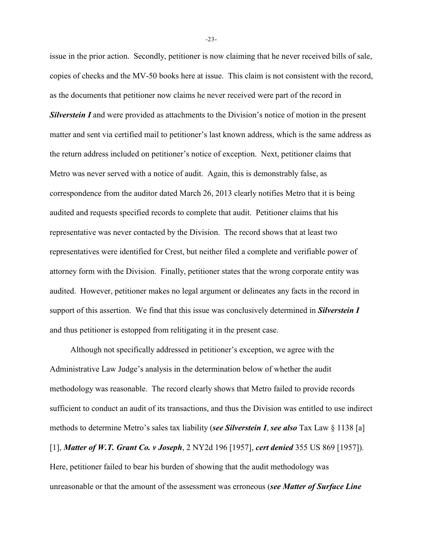issue in the prior action. Secondly, petitioner is now claiming that he never received bills of sale, copies of checks and the MV-50 books here at issue. This claim is not consistent with the record, as the documents that petitioner now claims he never received were part of the record in *Silverstein I* and were provided as attachments to the Division's notice of motion in the present matter and sent via certified mail to petitioner's last known address, which is the same address as the return address included on petitioner's notice of exception. Next, petitioner claims that Metro was never served with a notice of audit. Again, this is demonstrably false, as correspondence from the auditor dated March 26, 2013 clearly notifies Metro that it is being audited and requests specified records to complete that audit. Petitioner claims that his representative was never contacted by the Division. The record shows that at least two representatives were identified for Crest, but neither filed a complete and verifiable power of attorney form with the Division. Finally, petitioner states that the wrong corporate entity was audited. However, petitioner makes no legal argument or delineates any facts in the record in support of this assertion. We find that this issue was conclusively determined in *Silverstein I* and thus petitioner is estopped from relitigating it in the present case.

Although not specifically addressed in petitioner's exception, we agree with the Administrative Law Judge's analysis in the determination below of whether the audit methodology was reasonable. The record clearly shows that Metro failed to provide records sufficient to conduct an audit of its transactions, and thus the Division was entitled to use indirect methods to determine Metro's sales tax liability (*see Silverstein I*, *see also* Tax Law § 1138 [a] [1], *Matter of W.T. Grant Co. v Joseph*, 2 NY2d 196 [1957], *cert denied* 355 US 869 [1957]). Here, petitioner failed to bear his burden of showing that the audit methodology was unreasonable or that the amount of the assessment was erroneous (*see Matter of Surface Line*

-23-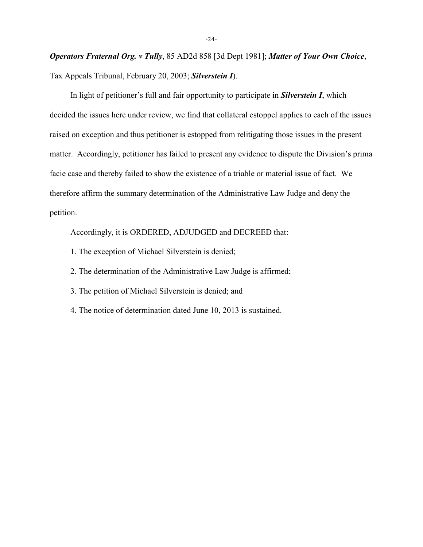*Operators Fraternal Org. v Tully*, 85 AD2d 858 [3d Dept 1981]; *Matter of Your Own Choice*, Tax Appeals Tribunal, February 20, 2003; *Silverstein I*).

In light of petitioner's full and fair opportunity to participate in *Silverstein I*, which decided the issues here under review, we find that collateral estoppel applies to each of the issues raised on exception and thus petitioner is estopped from relitigating those issues in the present matter. Accordingly, petitioner has failed to present any evidence to dispute the Division's prima facie case and thereby failed to show the existence of a triable or material issue of fact. We therefore affirm the summary determination of the Administrative Law Judge and deny the petition.

Accordingly, it is ORDERED, ADJUDGED and DECREED that:

- 1. The exception of Michael Silverstein is denied;
- 2. The determination of the Administrative Law Judge is affirmed;
- 3. The petition of Michael Silverstein is denied; and
- 4. The notice of determination dated June 10, 2013 is sustained.